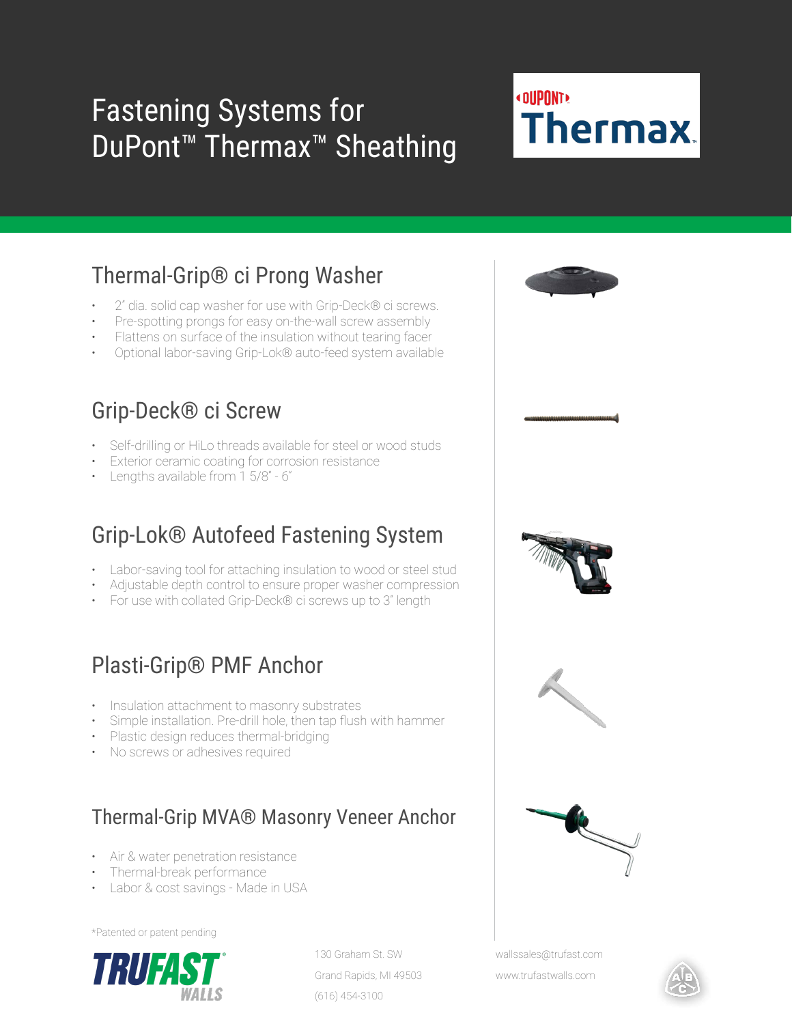# Fastening Systems for DuPont<sup>™</sup> Thermax<sup>™</sup> Sheathing

### **«DUPONT» Thermax**

### Thermal-Grip® ci Prong Washer

- 2" dia. solid cap washer for use with Grip-Deck® ci screws.
- Pre-spotting prongs for easy on-the-wall screw assembly
- Flattens on surface of the insulation without tearing facer
- Optional labor-saving Grip-Lok® auto-feed system available

#### Grip-Deck® ci Screw

- Self-drilling or HiLo threads available for steel or wood studs
- Exterior ceramic coating for corrosion resistance
- Lengths available from 1 5/8" 6"

#### Grip-Lok® Autofeed Fastening System

- Labor-saving tool for attaching insulation to wood or steel stud
- Adjustable depth control to ensure proper washer compression
- For use with collated Grip-Deck® ci screws up to 3" length

#### Plasti-Grip® PMF Anchor

- Insulation attachment to masonry substrates
- Simple installation. Pre-drill hole, then tap flush with hammer
- Plastic design reduces thermal-bridging
- No screws or adhesives required

#### Thermal-Grip MVA® Masonry Veneer Anchor

- Air & water penetration resistance
- Thermal-break performance
- Labor & cost savings Made in USA

\*Patented or patent pending



130 Graham St. SW Grand Rapids, MI 49503 (616) 454-3100





wallssales@trufast.com

www.trufastwalls.com